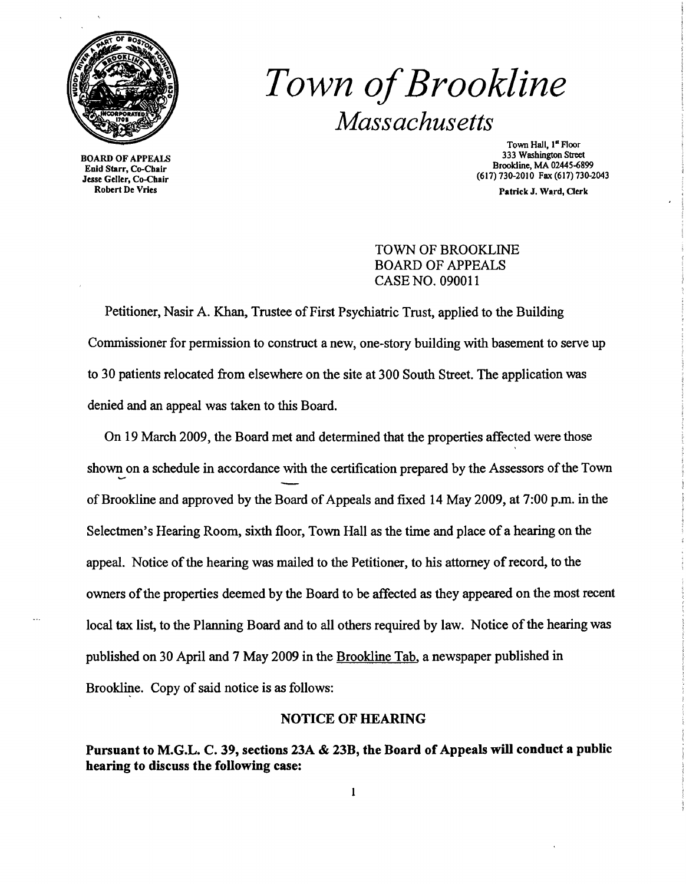

BOARD OF APPEALS Enid Starr, Co-Cbair Jesse Geller, Co-Chair Robert De Vries

# *Town ofBrookline Massachusetts*

Town Hall, 1<sup>st</sup> Floor 333 Washington Street Brooldine, MA 02445-6899 (617)730-2010 Fax (617) 730-2043

Patrick J. Ward, Clerk

TOWN OF BROOKLINE BOARD OF APPEALS CASE NO. 090011

Petitioner, Nasir A. Khan, Trustee of First Psychiatric Trust, applied to the Building Commissioner for permission to construct a new, one-story building with basement to serve up to 30 patients relocated from elsewhere on the site at 300 South Street. The application was denied and an appeal was taken to this Board.

On 19 March 2009, the Board met and determined that the properties affected were those shown on a schedule in accordance with the certification prepared by the Assessors of the Town of Brookline and approved by the Board of Appeals and fixed 14 May 2009, at 7:00 p.m. in the Selectmen's Hearing Room, sixth floor, Town Hall as the time and place of a hearing on the appeal. Notice of the hearing was mailed to the Petitioner, to his attorney of record, to the owners of the properties deemed by the Board to be affected as they appeared on the most recent local tax list, to the Planning Board and to all others required by law. Notice of the hearing was published on 30 April and 7 May 2009 in the Brookline Tab, a newspaper published in Brookline. Copy of said notice is as follows:

#### NOTICE OF HEARING

Pursuant to M.G.L. C. 39, sections 23A & 23B, the Board of Appeals will conduct a public hearing to discuss the following case: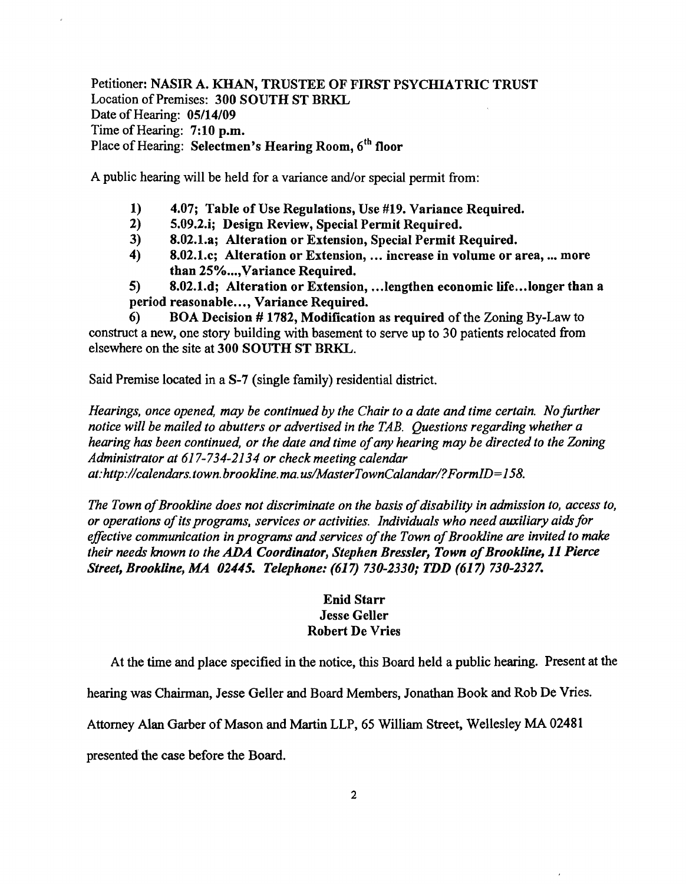Petitioner: NASIR A. KHAN, TRUSTEE OF FIRST PSYCHIATRIC TRUST Location of Premises: 300 SOUTH ST BRKL Date of Hearing: 05/14/09 Time of Hearing: 7:10 p.m. Place of Hearing: Selectmen's Hearing Room, 6<sup>th</sup> floor

A public hearing will be held for a variance and/or special permit from:

- 1) 4.07; Table of Use Regulations, Use #19. Variance Required.<br>2) 5.09.2.i: Design Review. Special Permit Required.
- 2) 5.09.2.i; Design Review, Special Permit Required.
- 3) 8.02.1.a; Alteration or Extension, Special Permit Required.
- 4) 8.02.1.c; Alteration or Extension, ... increase in volume or area, ..• more than 25%..., Variance Required.

5) 8.02.1.d; Alteration or Extension, .• .lengthen economic life...longer than a period reasonable..•, Variance Required.

6) BOA Decision # 1782, Modification as required of the Zoning By-Law to construct a new, one story building with basement to serve up to 30 patients relocated from elsewhere on the site at 300 SOUTH ST BRKL.

Said Premise located in a S-7 (single family) residential district.

*Hearings, once opened, may be continued by the Chair to a date and time certain. No further notice will be mailed to abutters or advertised in the TAB. Questions regarding whether a hearing has been continued, or the date and time ofany hearing may be directed to the Zoning Administrator at* 617-734-2134 *or check meeting calendar at:http://calendars. town. brookline. ma. uslMasterTownCalandarl?FormID=158.* 

The Town of Brookline does not discriminate on the basis of disability in admission to, access to, *or operations ofits programs, services or activities. Individuals who need auxiliary aids for*  effective communication in programs and services of the Town of Brookline are invited to make *their needs known to the* ADA *Coordinator, Stephen Bressler, Town ofBrookline,* 11 *Pierce Street, Brookline, MA 02445. Telephone:* (617) *730-2330; TDD* (617) *730-2327.* 

# Enid Starr Jesse Geller Robert De Vries

At the time and place specified in the notice, this Board held a public hearing. Present at the

hearing was Chairman, Jesse Geller and Board Members, Jonathan Book and Rob De Vries.

Attorney Alan Garber of Mason and Martin LLP, 65 William Street, Wellesley MA 02481

presented the case before the Board.

 $\overline{ }$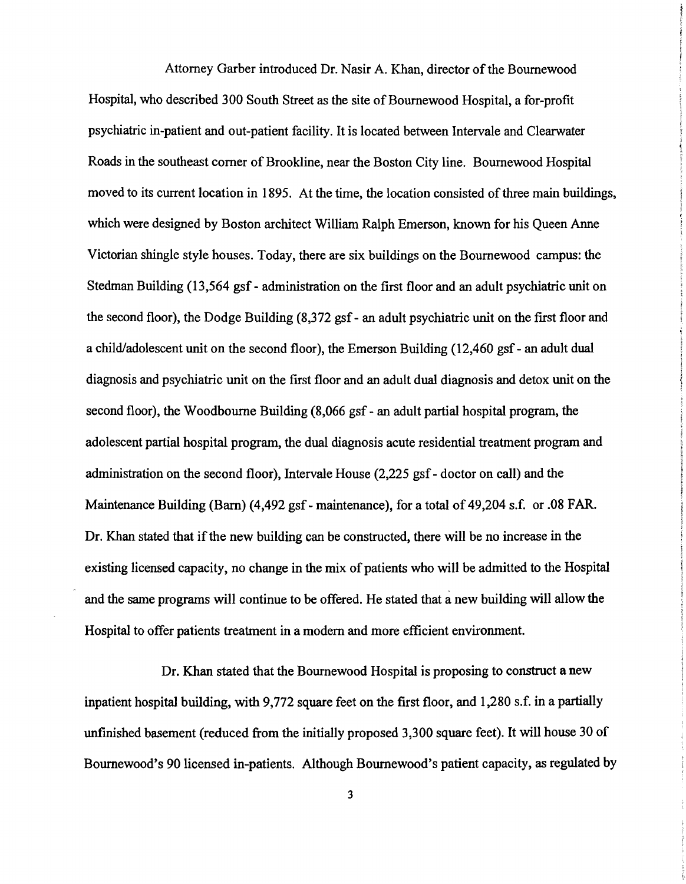Attorney Garber introduced Dr. Nasir A. Khan, director of the Bournewood Hospital, who described 300 South Street as the site of Boumewood Hospital, a for-profit psychiatric in-patient and out-patient facility. It is located between Intervale and Clearwater Roads in the southeast corner of Brookline, near the Boston City line. Boumewood Hospital moved to its current location in 1895. At the time, the location consisted of three main buildings, which were designed by Boston architect William Ralph Emerson, known for his Queen Anne Victorian shingle style houses. Today, there are six buildings on the Boumewood campus: the Stedman Building (13,564 gsf - administration on the first floor and an adult psychiatric unit on the second floor), the Dodge Building (8,372 gsf- an adult psychiatric unit on the first floor and a child/adolescent unit on the second floor), the Emerson Building (12,460 gsf - an adult dual diagnosis and psychiatric unit on the first floor and an adult dual diagnosis and detox unit on the second floor), the Woodbourne Building (8,066 gsf - an adult partial hospital program, the adolescent partial hospital program, the dual diagnosis acute residential treatment program and administration on the second floor), Intervale House (2,225 gsf - doctor on call) and the Maintenance Building (Barn) (4,492 gsf - maintenance), for a total of 49,204 s.f. or .08 FAR. Dr. Khan stated that if the new building can be constructed, there will be no increase in the existing licensed capacity, no change in the mix of patients who will be admitted to the Hospital and the same programs will continue to be offered. He stated that a new building will allow the Hospital to offer patients treatment in a modern and more efficient environment.

Dr. Khan stated that the Boumewood Hospital is proposing to construct a new inpatient hospital building, with 9,772 square feet on the first floor, and 1,280 s.f. in a partially unfinished basement (reduced from the initially proposed 3,300 square feet). It will house 30 of Bournewood's 90 licensed in-patients. Although Bournewood's patient capacity, as regulated by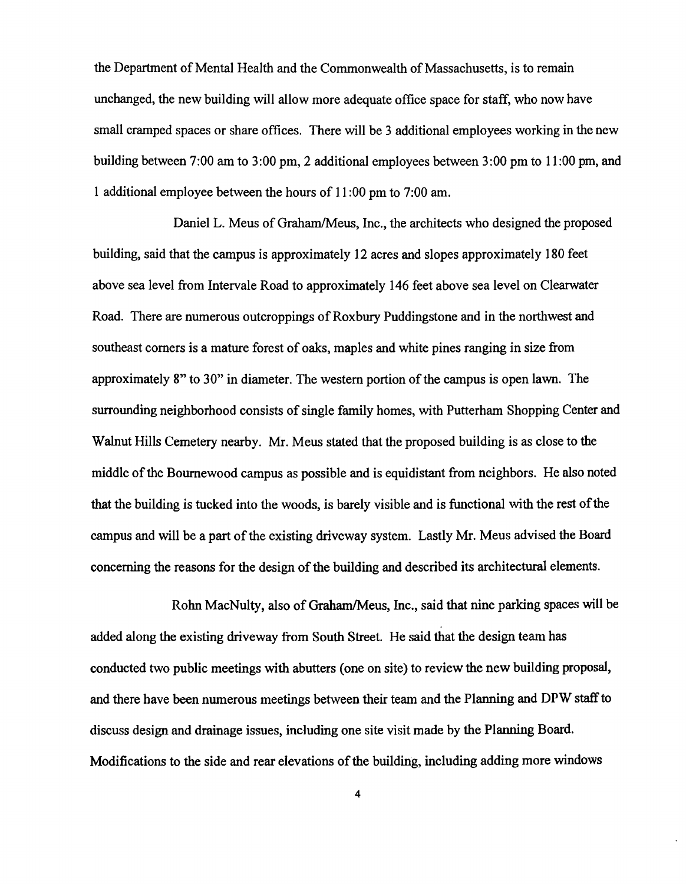the Department of Mental Health and the Commonwealth of Massachusetts, is to remain unchanged, the new building will allow more adequate office space for staff, who now have small cramped spaces or share offices. There will be 3 additional employees working in the new building between 7:00 am to 3:00 pm, 2 additional employees between 3:00 pm to 11:00 pm, and 1 additional employee between the hours of 11 :00 pm to 7:00 am.

Daniel L. Meus of Graham/Meus, Inc., the architects who designed the proposed building, said that the campus is approximately 12 acres and slopes approximately 180 feet above sea level from Intervale Road to approximately 146 feet above sea level on Clearwater Road. There are numerous outcroppings of Roxbury Puddingstone and in the northwest and southeast comers is a mature forest of oaks, maples and white pines ranging in size from approximately 8" to 30" in diameter. The western portion of the campus is open lawn. The surrounding neighborhood consists of single family homes, with Putterham Shopping Center and Walnut Hills Cemetery nearby. Mr. Meus stated that the proposed building is as close to the middle of the Bournewood campus as possible and is equidistant from neighbors. He also noted that the building is tucked into the woods, is barely visible and is functional with the rest of the campus and will be a part of the existing driveway system. Lastly Mr. Meus advised the Board concerning the reasons for the design of the building and described its architectural elements.

Rohn MacNulty, also of Graham/Meus, Inc., said that nine parking spaces will be added along the existing driveway from South Street. He said that the design team has conducted two public meetings with abutters (one on site) to review the new building proposal, and there have been numerous meetings between their team and the Planning and DPW staff to discuss design and drainage issues, including one site visit made by the Planning Board. Modifications to the side and rear elevations of the building, including adding more windows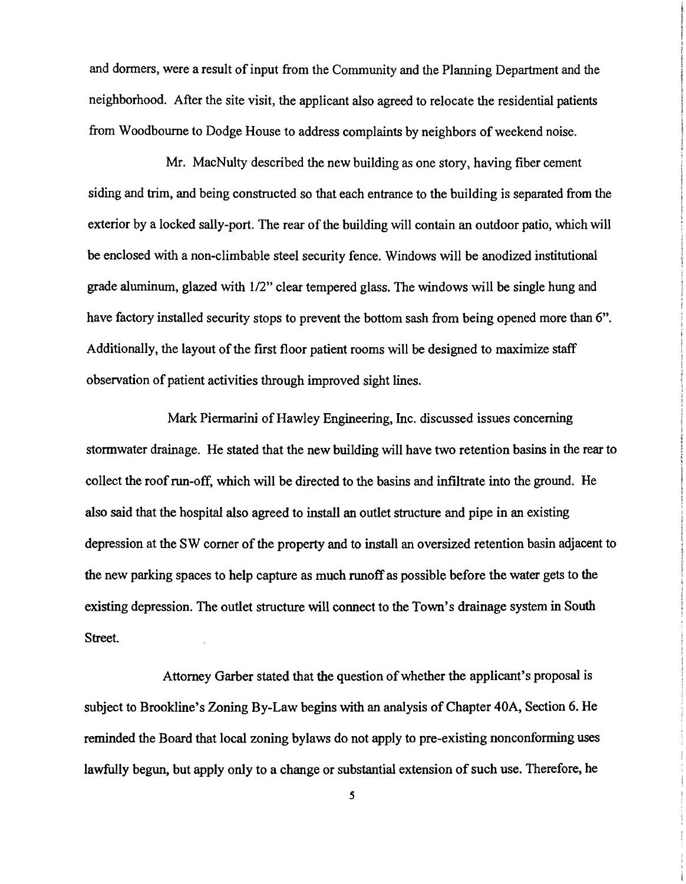and donners, were a result of input from the Community and the Planning Department and the neighborhood. After the site visit, the applicant also agreed to relocate the residential patients from Woodbourne to Dodge House to address complaints by neighbors of weekend noise.

Mr. MacNulty described the new building as one story, having fiber cement siding and trim, and being constructed so that each entrance to the building is separated from the exterior by a locked sally-port. The rear of the building will contain an outdoor patio, which will be enclosed with a non-climbable steel security fence. Windows will be anodized institutional grade aluminum, glazed with 1/2" clear tempered glass. The windows will be single hung and have factory installed security stops to prevent the bottom sash from being opened more than 6". Additionally, the layout of the first floor patient rooms will be designed to maximize staff observation of patient activities through improved sight lines.

Mark Piennarini of Hawley Engineering, Inc. discussed issues concerning stonnwater drainage. He stated that the new building will have two retention basins in the rear to collect the roof run-off, which will be directed to the basins and infiltrate into the ground. He also said that the hospital also agreed to install an outlet structure and pipe in an existing depression at the SW comer of the property and to install an oversized retention basin adjacent to the new parking spaces to help capture as much runoff as possible before the water gets to the existing depression. The outlet structure will connect to the Town's drainage system in South Street.

Attorney Garber stated that the question of whether the applicant's proposal is subject to Brookline's Zoning By-Law begins with an analysis of Chapter 40A, Section 6. He reminded the Board that local zoning bylaws do not apply to pre-existing nonconforming uses lawfully begun, but apply only to a change or substantial extension of such use. Therefore, he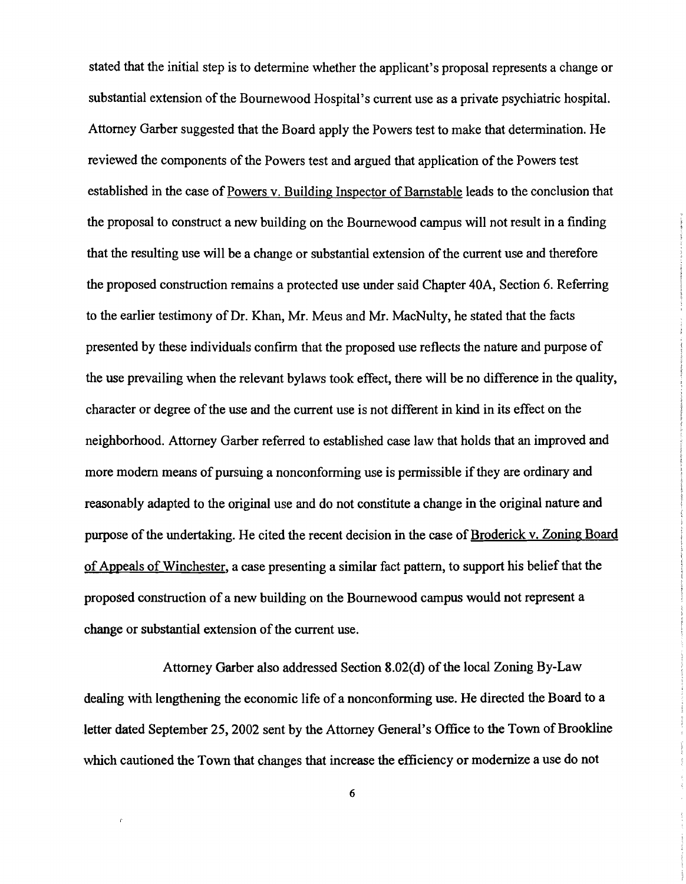stated that the initial step is to determine whether the applicant's proposal represents a change or substantial extension of the Bournewood Hospital's current use as a private psychiatric hospital. Attorney Garber suggested that the Board apply the Powers test to make that determination. He reviewed the components of the Powers test and argued that application of the Powers test established in the case of Powers v. Building Inspector of Bamstable leads to the conclusion that the proposal to construct a new building on the Bournewood campus will not result in a finding that the resulting use will be a change or substantial extension of the current use and therefore the proposed construction remains a protected use under said Chapter 40A, Section 6. Referring to the earlier testimony of Dr. Khan, Mr. Meus and Mr. MacNulty, he stated that the facts presented by these individuals confirm that the proposed use reflects the nature and purpose of the use prevailing when the relevant bylaws took effect, there will be no difference in the quality, character or degree of the use and the current use is not different in kind in its effect on the neighborhood. Attorney Garber referred to established case law that holds that an improved and more modern means of pursuing a nonconforming use is permissible if they are ordinary and reasonably adapted to the original use and do not constitute a change in the original nature and purpose of the undertaking. He cited the recent decision in the case of Broderick v. Zoning Board of Appeals of Winchester, a case presenting a similar fact pattern, to support his belief that the proposed construction of a new building on the Bournewood campus would not represent a change or substantial extension of the current use.

Attorney Garber also addressed Section 8.02(d) of the local Zoning By-Law dealing with lengthening the economic life of a nonconforming use. He directed the Board to a letter dated September 25, 2002 sent by the Attorney General's Office to the Town of Brookline which cautioned the Town that changes that increase the efficiency or modernize a use do not

6

 $\epsilon$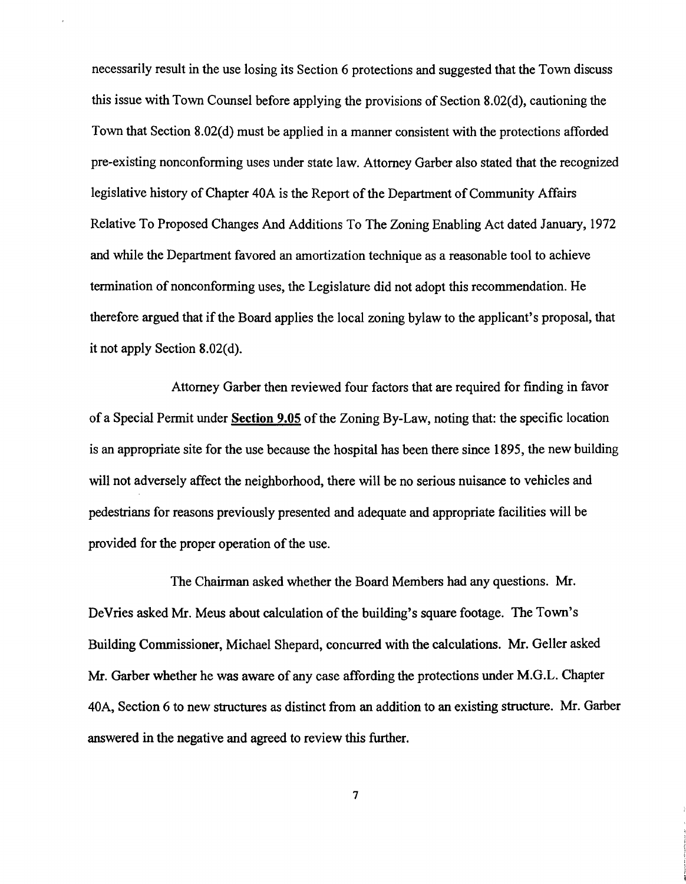necessarily result in the use losing its Section 6 protections and suggested that the Town discuss this issue with Town Counsel before applying the provisions of Section 8.02(d), cautioning the Town that Section 8.02(d) must be applied in a manner consistent with the protections afforded pre-existing nonconforming uses under state law. Attorney Garber also stated that the recognized legislative history of Chapter 40A is the Report of the Department of Community Affairs Relative To Proposed Changes And Additions To The Zoning Enabling Act dated January, 1972 and while the Department favored an amortization technique as a reasonable tool to achieve termination of nonconforming uses, the Legislature did not adopt this recommendation. He therefore argued that if the Board applies the local zoning bylaw to the applicant's proposal, that it not apply Section 8.02(d).

Attorney Garber then reviewed four factors that are required for finding in favor of a Special Permit under Section 9.05 of the Zoning By-Law, noting that: the specific location is an appropriate site for the use because the hospital has been there since 1895, the new building will not adversely affect the neighborhood, there will be no serious nuisance to vehicles and pedestrians for reasons previously presented and adequate and appropriate facilities will be provided for the proper operation of the use.

The Chairman asked whether the Board Members had any questions. Mr. DeVries asked Mr. Meus about calculation of the building's square footage. The Town's Building Commissioner, Michael Shepard, concurred with the calculations. Mr. Geller asked Mr. Garber whether he was aware of any case affording the protections under M.G.L. Chapter 40A, Section 6 to new structures as distinct from an addition to an existing structure. Mr. Garber answered in the negative and agreed to review this further.

7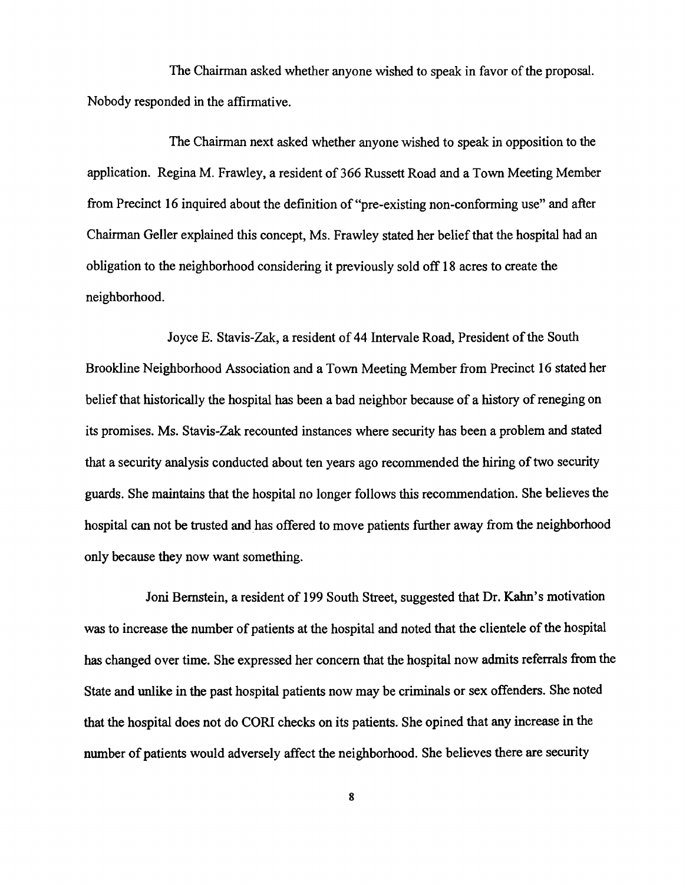The Chairman asked whether anyone wished to speak in favor of the proposal. Nobody responded in the affirmative.

The Chairman next asked whether anyone wished to speak in opposition to the application. Regina M. Frawley, a resident of 366 Russett Road and a Town Meeting Member from Precinct 16 inquired about the definition of "pre-existing non-conforming use" and after Chairman Geller explained this concept, Ms. Frawley stated her belief that the hospital had an obligation to the neighborhood considering it previously sold off 18 acres to create the neighborhood.

Joyce E. Stavis-Zak, a resident of 44 Intervale Road, President of the South Brookline Neighborhood Association and a Town Meeting Member from Precinct 16 stated her belief that historically the hospital has been a bad neighbor because of a history of reneging on its promises. Ms. Stavis-Zak recounted instances where security has been a problem and stated that a security analysis conducted about ten years ago recommended the hiring of two security guards. She maintains that the hospital no longer follows this recommendation. She believes the hospital can not be trusted and has offered to move patients further away from the neighborhood only because they now want something.

Joni Bernstein, a resident of 199 South Street, suggested that Dr. Kahn's motivation was to increase the number of patients at the hospital and noted that the clientele of the hospital has changed over time. She expressed her concern that the hospital now admits referrals from the State and unlike in the past hospital patients now may be criminals or sex offenders. She noted that the hospital does not do CORI checks on its patients. She opined that any increase in the number of patients would adversely affect the neighborhood. She believes there are security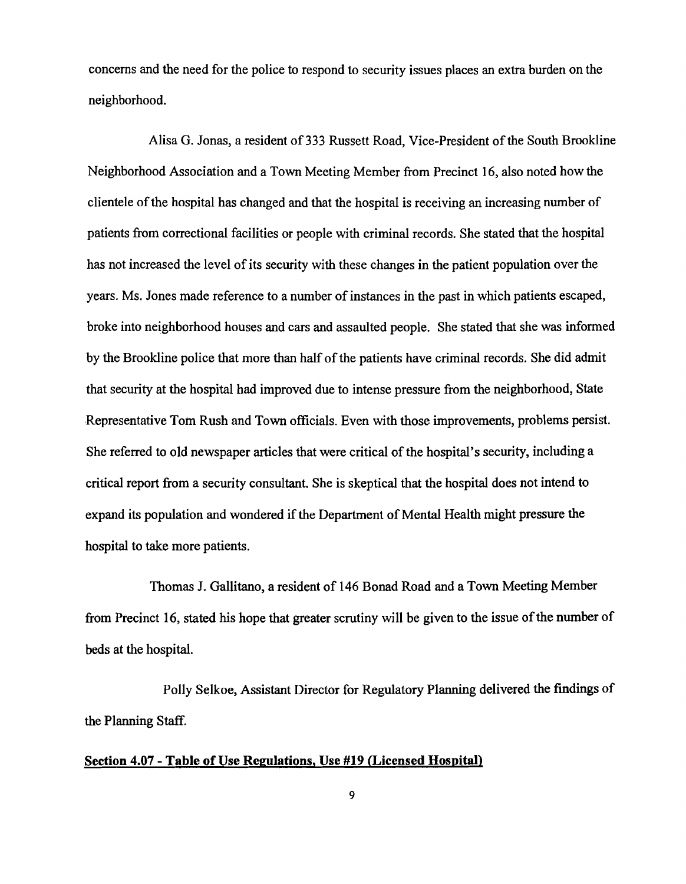concerns and the need for the police to respond to security issues places an extra burden on the neighborhood.

Alisa G. Jonas, a resident of 333 Russett Road, Vice-President of the South Brookline Neighborhood Association and a Town Meeting Member from Precinct 16, also noted how the clientele ofthe hospital has changed and that the hospital is receiving an increasing number of patients from correctional facilities or people with criminal records. She stated that the hospital has not increased the level of its security with these changes in the patient population over the years. Ms. Jones made reference to a number of instances in the past in which patients escaped, broke into neighborhood houses and cars and assaulted people. She stated that she was informed by the Brookline police that more than half of the patients have criminal records. She did admit that security at the hospital had improved due to intense pressure from the neighborhood, State Representative Tom Rush and Town officials. Even with those improvements, problems persist. She referred to old newspaper articles that were critical of the hospital's security, including a critical report from a security consultant. She is skeptical that the hospital does not intend to expand its population and wondered if the Department of Mental Health might pressure the hospital to take more patients.

Thomas J. Gallitano, a resident of 146 Bonad Road and a Town Meeting Member from Precinct 16, stated his hope that greater scrutiny will be given to the issue of the number of beds at the hospital.

Polly Selkoe, Assistant Director for Regulatory Planning delivered the findings of the Planning Staff.

### Section 4.07 - Table of Use Regulations, Use #19 (Licensed Hospital)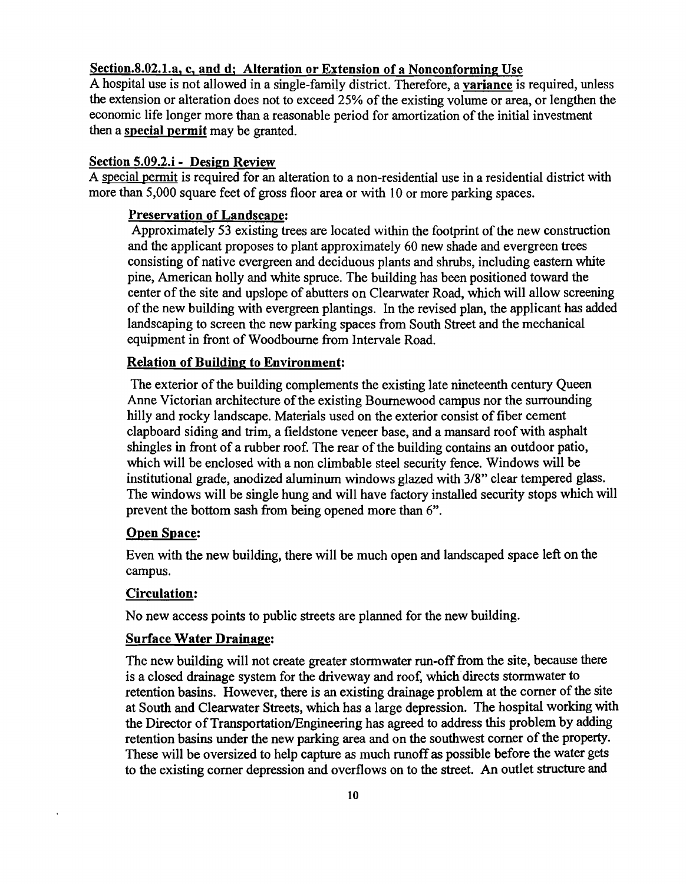### Section.8.02.l.a, c, and d; Alteration or Extension of a Nonconforming Use

A hospital use is not allowed in a single-family district. Therefore, a variance is required, unless the extension or alteration does not to exceed 25% of the existing volume or area, or lengthen the economic life longer more than a reasonable period for amortization of the initial investment then a special permit may be granted.

#### Section 5.09.2.i - Design Review

A special permit is required for an alteration to a non-residential use in a residential district with more than 5,000 square feet of gross floor area or with 10 or more parking spaces.

### Preservation of Landscape:

Approximately 53 existing trees are located within the footprint of the new construction and the applicant proposes to plant approximately 60 new shade and evergreen trees consisting of native evergreen and deciduous plants and shrubs, including eastern white pine, American holly and white spruce. The building has been positioned toward the center of the site and upslope of abutters on Clearwater Road, which will allow screening of the new building with evergreen plantings. In the revised plan, the applicant has added landscaping to screen the new parking spaces from South Street and the mechanical equipment in front of Woodbourne from Intervale Road.

# Relation of Building to Environment:

The exterior of the building complements the existing late nineteenth century Queen Anne Victorian architecture of the existing Bournewood campus nor the surrounding hilly and rocky landscape. Materials used on the exterior consist of fiber cement clapboard siding and trim, a fieldstone veneer base, and a mansard roof with asphalt shingles in front of a rubber roof. The rear of the building contains an outdoor patio, which will be enclosed with a non climbable steel security fence. Windows will be institutional grade, anodized aluminum windows glazed with 3/8" clear tempered glass. The windows will be single hung and will have factory installed security stops which will prevent the bottom sash from being opened more than 6".

# Open Space:

Even with the new building, there will be much open and landscaped space left on the campus.

# Circulation:

No new access points to public streets are planned for the new building.

# Surface Water Drainage:

The new building will not create greater stormwater run-off from the site, because there is a closed drainage system for the driveway and roof, which directs stormwater to retention basins. However, there is an existing drainage problem at the comer of the site at South and Clearwater Streets, which has a large depression. The hospital working with the Director of Transportation/Engineering has agreed to address this problem by adding retention basins under the new parking area and on the southwest comer of the property. These will be oversized to help capture as much runoff as possible before the water gets to the existing comer depression and overflows on to the street. An outlet structure and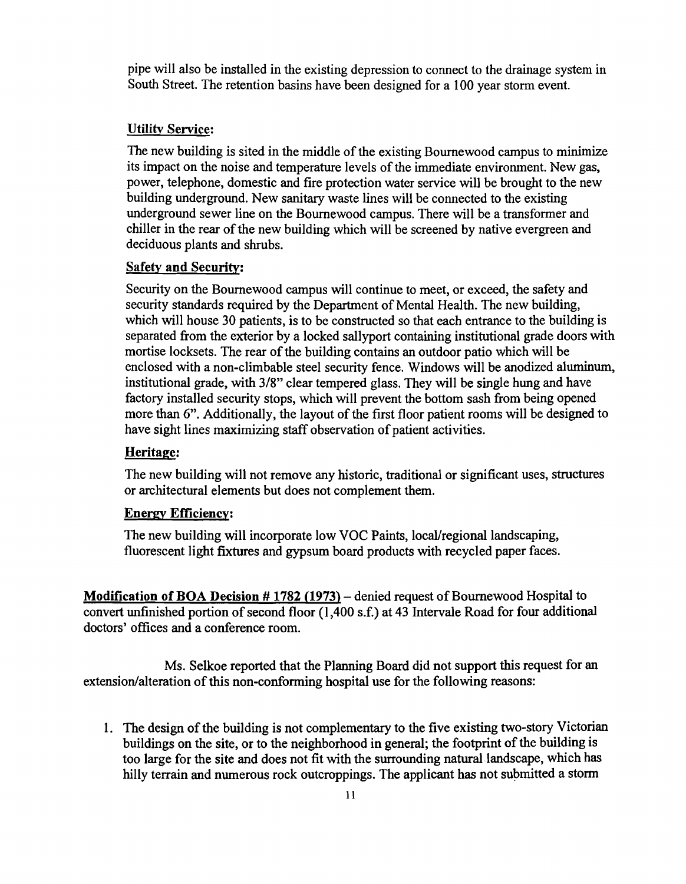pipe will also be installed in the existing depression to connect to the drainage system in South Street. The retention basins have been designed for a 100 year storm event.

#### **Utility Service:**

The new building is sited in the middle of the existing Bournewood campus to minimize its impact on the noise and temperature levels of the immediate environment. New gas, power, telephone, domestic and fire protection water service will be brought to the new building underground. New sanitary waste lines will be connected to the existing underground sewer line on the Bournewood campus. There will be a transformer and chiller in the rear of the new building which will be screened by native evergreen and deciduous plants and shrubs.

#### Safety and Security:

Security on the Bournewood campus will continue to meet, or exceed, the safety and security standards required by the Department of Mental Health. The new building, which will house 30 patients, is to be constructed so that each entrance to the building is separated from the exterior by a locked sallyport containing institutional grade doors with mortise locksets. The rear of the building contains an outdoor patio which will be enclosed with a non-climbable steel security fence. Windows will be anodized aluminum, institutional grade, with *3/8"* clear tempered glass. They will be single hung and have factory installed security stops, which will prevent the bottom sash from being opened more than 6". Additionally, the layout of the first floor patient rooms will be designed to have sight lines maximizing staff observation of patient activities.

# Heritage:

The new building will not remove any historic, traditional or significant uses, structures or architectural elements but does not complement them.

#### Energy Efficiency:

The new building will incorporate low VOC Paints, local/regional landscaping, fluorescent light fixtures and gypsum board products with recycled paper faces.

**Modification of BOA Decision # 1782 (1973)** – denied request of Bournewood Hospital to convert unfinished portion of second floor (l,400 s.f.) at 43 Intervale Road for four additional doctors' offices and a conference room.

Ms. Selkoe reported that the Planning Board did not support this request for an extension/alteration of this non-conforming hospital use for the following reasons:

1. The design of the building is not complementary to the five existing two-story Victorian buildings on the site, or to the neighborhood in general; the footprint of the building is too large for the site and does not fit with the surrounding natural landscape, which has hilly terrain and numerous rock outcroppings. The applicant has not submitted a storm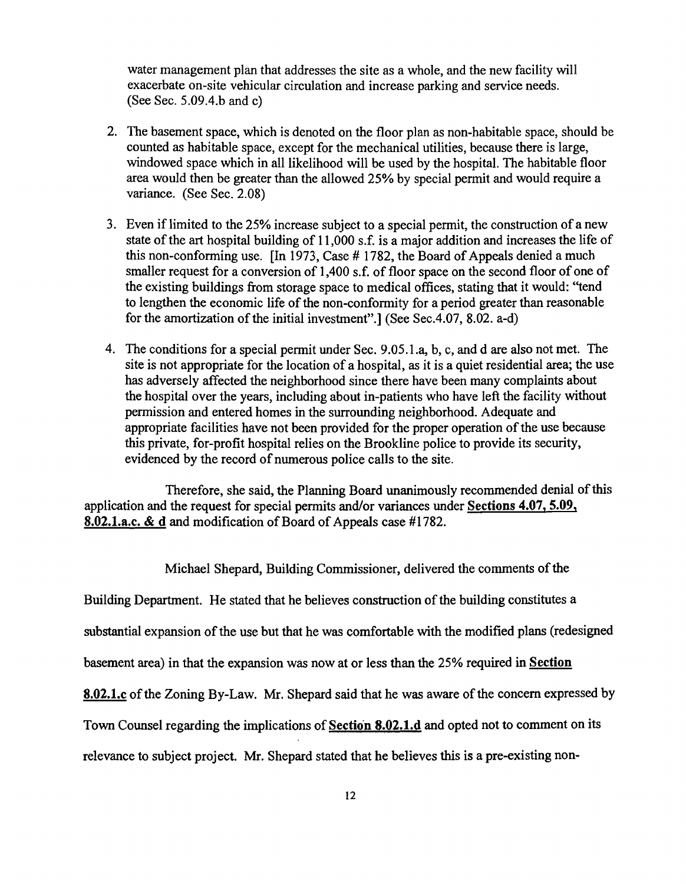water management plan that addresses the site as a whole, and the new facility will exacerbate on-site vehicular circulation and increase parking and service needs. (See Sec. *5.09A.b* and c)

- 2. The basement space, which is denoted on the floor plan as non-habitable space, should be counted as habitable space, except for the mechanical utilities, because there is large, windowed space which in all likelihood will be used by the hospital. The habitable floor area would then be greater than the allowed 25% by special permit and would require a variance. (See Sec. 2.08)
- 3. Even if limited to the 25% increase subject to a special permit, the construction of a new state of the art hospital building of 11,000 s.f. is a major addition and increases the life of this non-conforming use.  $\[\text{In } 1973\]$ , Case # 1782, the Board of Appeals denied a much smaller request for a conversion of 1,400 s.f. of floor space on the second floor of one of the existing buildings from storage space to medical offices, stating that it would: ''tend to lengthen the economic life of the non-conformity for a period greater than reasonable for the amortization of the initial investment".] (See Sec.4.07, 8.02. a-d)
- 4. The conditions for a special permit under Sec. 9.05.1.a, b, c, and d are also not met. The site is not appropriate for the location of a hospital, as it is a quiet residential area; the use has adversely affected the neighborhood since there have been many complaints about the hospital over the years, including about in-patients who have left the facility without permission and entered homes in the surrounding neighborhood. Adequate and appropriate facilities have not been provided for the proper operation of the use because this private, for-profit hospital relies on the Brookline police to provide its security, evidenced by the record of numerous police calls to the site.

Therefore, she said, the Planning Board unanimously recommended denial of this application and the request for special permits and/or variances under Sections 4.07, 5.09, 8.02.1.a.c. & d and modification of Board of Appeals case #1782.

Michael Shepard, Building Commissioner, delivered the comments of the

Building Department. He stated that he believes construction of the building constitutes a

substantial expansion of the use but that he was comfortable with the modified plans (redesigned

basement area) in that the expansion was now at or less than the 25% required in Section

8.02.1.c of the Zoning By-Law. Mr. Shepard said that he was aware of the concern expressed by

Town Counsel regarding the implications of Section 8.02.1.d and opted not to comment on its

relevance to subject project. Mr. Shepard stated that he believes this is a pre-existing non-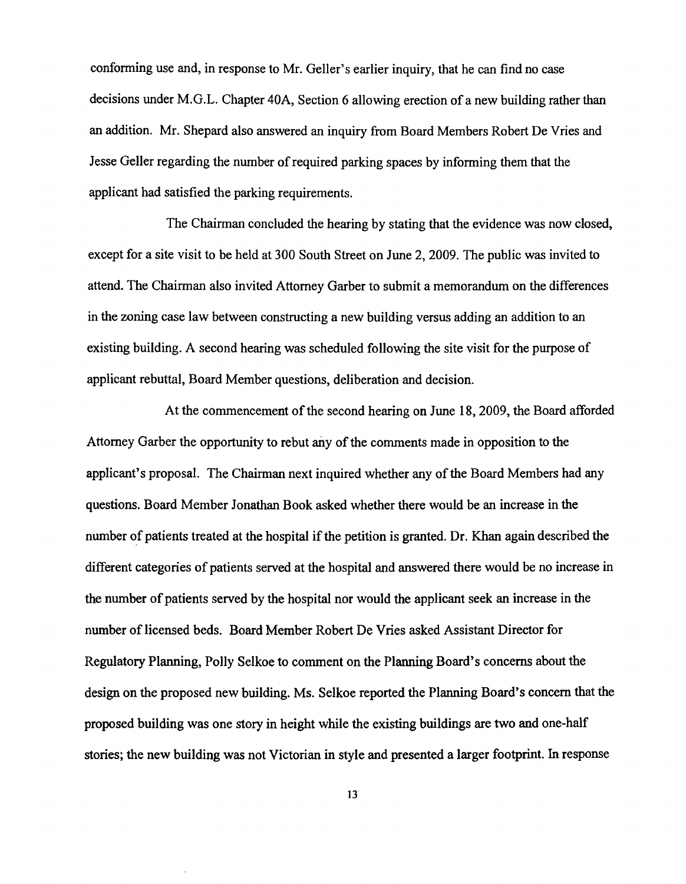conforming use and, in response to Mr. Geller's earlier inquiry, that he can find no case decisions under M.G.L. Chapter 40A, Section 6 allowing erection of a new building rather than an addition. Mr. Shepard also answered an inquiry from Board Members Robert De Vries and Jesse Geller regarding the number of required parking spaces by informing them that the applicant had satisfied the parking requirements.

The Chairman concluded the hearing by stating that the evidence was now closed, except for a site visit to be held at 300 South Street on June 2,2009. The public was invited to attend. The Chairman also invited Attorney Garber to submit a memorandum on the differences in the zoning case law between constructing a new building versus adding an addition to an existing building. A second hearing was scheduled following the site visit for the purpose of applicant rebuttal, Board Member questions, deliberation and decision.

At the commencement of the second hearing on June 18, 2009, the Board afforded Attorney Garber the opportunity to rebut any of the comments made in opposition to the applicant's proposal. The Chairman next inquired whether any of the Board Members had any questions. Board Member Jonathan Book asked whether there would be an increase in the number of patients treated at the hospital if the petition is granted. Dr. Khan again described the different categories of patients served at the hospital and answered there would be no increase in the number of patients served by the hospital nor would the applicant seek an increase in the number of licensed beds. Board Member Robert De Vries asked Assistant Director for Regulatory Planning, Polly Selkoe to comment on the Planning Board's concerns about the design on the proposed new building. Ms. Selkoe reported the Planning Board's concern that the proposed building was one story in height while the existing buildings are two and one-half stories; the new building was not Victorian in style and presented a larger footprint. In response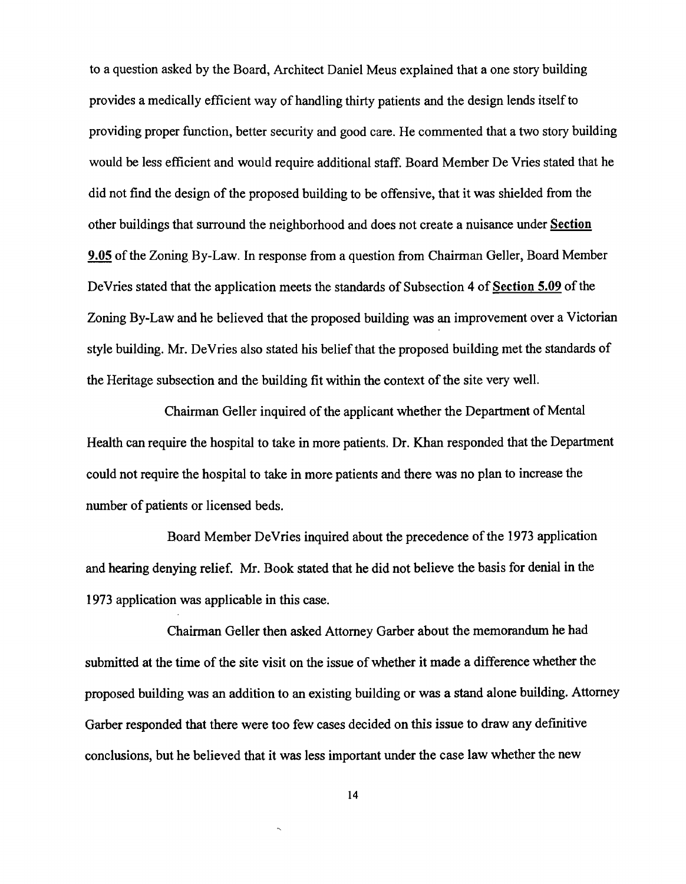to a question asked by the Board, Architect Daniel Meus explained that a one story building provides a medically efficient way of handling thirty patients and the design lends itself to providing proper function, better security and good care. He commented that a two story building would be less efficient and would require additional staff. Board Member De Vries stated that he did not find the design of the proposed building to be offensive, that it was shielded from the other buildings that surround the neighborhood and does not create a nuisance under Section 9.05 ofthe Zoning By-Law. In response from a question from Chairman Geller, Board Member DeVries stated that the application meets the standards of Subsection 4 of Section 5.09 of the Zoning By-Law and he believed that the proposed building was an improvement over a Victorian style building. Mr. DeVries also stated his belief that the proposed building met the standards of the Heritage subsection and the building fit within the context of the site very well.

Chairman Geller inquired of the applicant whether the Department of Mental Health can require the hospital to take in more patients. Dr. Khan responded that the Department could not require the hospital to take in more patients and there was no plan to increase the number of patients or licensed beds.

Board Member DeVries inquired about the precedence of the 1973 application and hearing denying relief. Mr. Book stated that he did not believe the basis for denial in the 1973 application was applicable in this case.

Chairman Geller then asked Attorney Garber about the memorandum he had submitted at the time of the site visit on the issue of whether it made a difference whether the proposed building was an addition to an existing building or was a stand alone building. Attorney Garber responded that there were too few cases decided on this issue to draw any definitive conclusions, but he believed that it was less important under the case law whether the new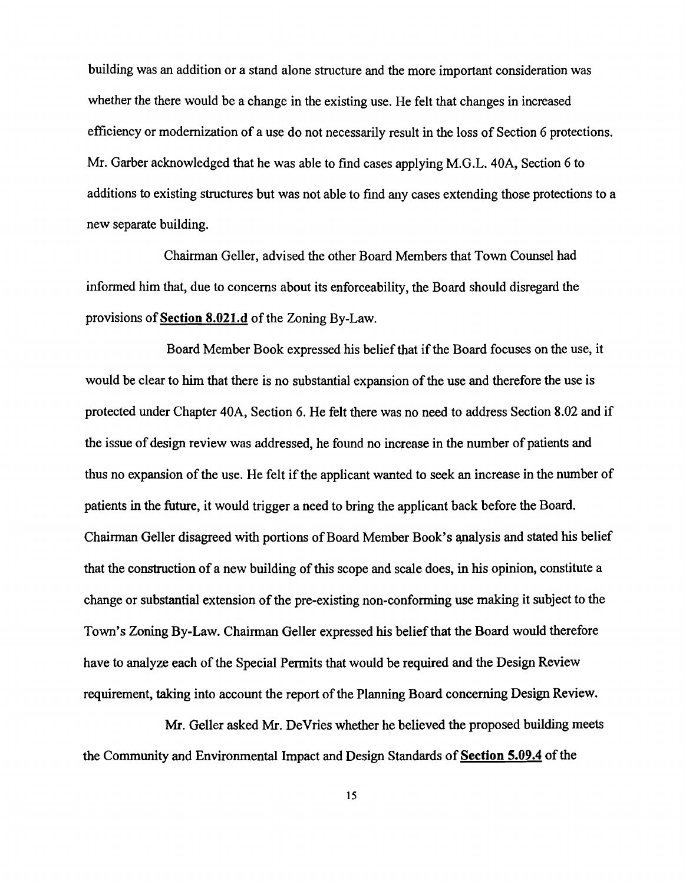building was an addition or a stand alone structure and the more important consideration was whether the there would be a change in the existing use. He felt that changes in increased efficiency or modernization of a use do not necessarily result in the loss of Section 6 protections. Mr. Garber acknowledged that he was able to find cases applying M.G.L. 40A, Section 6 to additions to existing structures but was not able to find any cases extending those protections to a new separate building.

Chairman Geller, advised the other Board Members that Town Counsel had infonned him that, due to concerns about its enforceability, the Board should disregard the provisions of Section 8.021.d of the Zoning By-Law.

Board Member Book expressed his belief that if the Board focuses on the use, it would be clear to him that there is no substantial expansion of the use and therefore the use is protected under Chapter 40A, Section 6. He felt there was no need to address Section 8.02 and if the issue of design review was addressed, he found no increase in the number of patients and thus no expansion of the use. He felt if the applicant wanted to seek an increase in the number of patients in the future, it would trigger a need to bring the applicant back before the Board. Chairman Geller disagreed with portions of Board Member Book's analysis and stated his belief that the construction of a new building of this scope and scale does, in his opinion, constitute a change or substantial extension of the pre-existing non-conforming use making it subject to the Town's Zoning By-Law. Chairman Geller expressed his belief that the Board would therefore have to analyze each of the Special Permits that would be required and the Design Review requirement, taking into account the report of the Planning Board concerning Design Review.

Mr. Geller asked Mr. DeVries whether he believed the proposed building meets the Community and Environmental Impact and Design Standards of Section 5.09.4 of the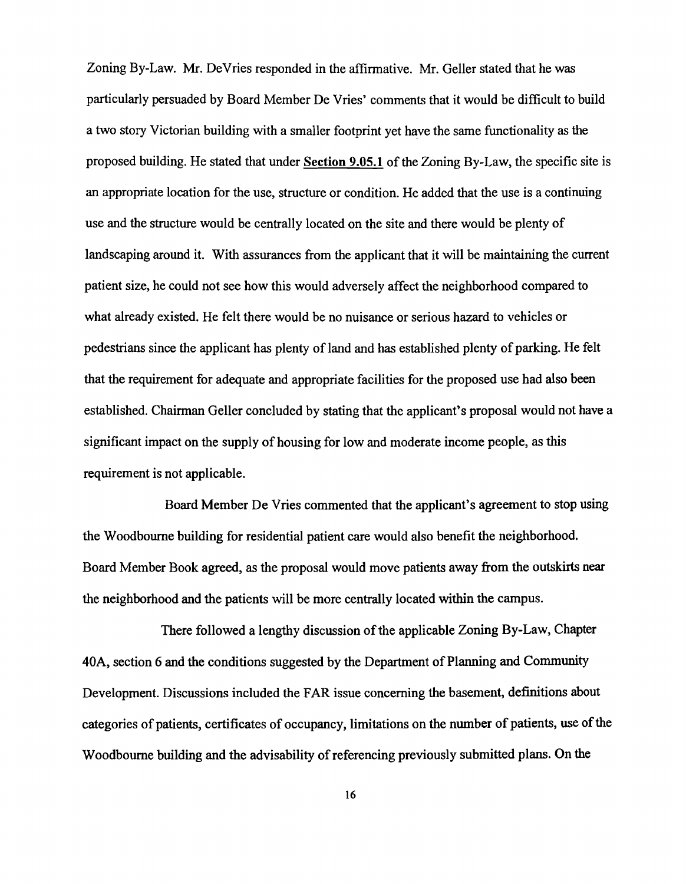Zoning By-Law. Mr. DeVries responded in the affirmative. Mr. Geller stated that he was particularly persuaded by Board Member De Vries' comments that it would be difficult to build a two story Victorian building with a smaller footprint yet have the same functionality as the proposed building. He stated that under Section 9.05.1 of the Zoning By-Law, the specific site is an appropriate location for the use, structure or condition. He added that the use is a continuing use and the structure would be centrally located on the site and there would be plenty of landscaping around it. With assurances from the applicant that it will be maintaining the current patient size, he could not see how this would adversely affect the neighborhood compared to what already existed. He felt there would be no nuisance or serious hazard to vehicles or pedestrians since the applicant has plenty of land and has established plenty of parking. He felt that the requirement for adequate and appropriate facilities for the proposed use had also been established. Chairman Geller concluded by stating that the applicant's proposal would not have a significant impact on the supply of housing for low and moderate income people, as this requirement is not applicable.

Board Member De Vries commented that the applicant's agreement to stop using the Woodbourne building for residential patient care would also benefit the neighborhood. Board Member Book agreed, as the proposal would move patients away from the outskirts near the neighborhood and the patients will be more centrally located within the campus.

There followed a lengthy discussion of the applicable Zoning By-Law, Chapter 40A, section 6 and the conditions suggested by the Department of Planning and Community Development. Discussions included the FAR issue concerning the basement, definitions about categories of patients, certificates of occupancy, limitations on the number of patients, use of the Woodbourne building and the advisability of referencing previously submitted plans. On the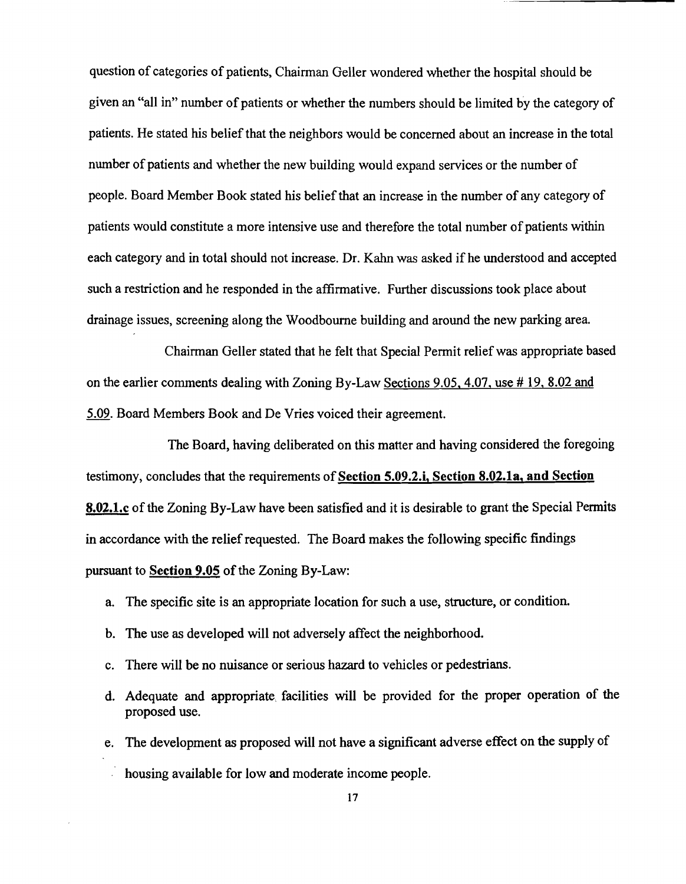question of categories of patients, Chairman Geller wondered whether the hospital should be given an "all in" number of patients or whether the numbers should be limited by the category of patients. He stated his belief that the neighbors would be concerned about an increase in the total number of patients and whether the new building would expand services or the number of people. Board Member Book stated his belief that an increase in the number of any category of patients would constitute a more intensive use and therefore the total number of patients within each category and in total should not increase. Dr. Kahn was asked if he understood and accepted such a restriction and he responded in the affirmative. Further discussions took place about drainage issues, screening along the Woodbourne building and around the new parking area.

Chairman Geller stated that he felt that Special Permit reliefwas appropriate based on the earlier comments dealing with Zoning By-Law Sections 9.05. 4.07. use # 19. 8.02 and 5.09. Board Members Book and De Vries voiced their agreement.

The Board, having deliberated on this matter and having considered the foregoing testimony, concludes that the requirements of Section 5.09.2.i, Section 8.02.1a, and Section 8.02.1.c of the Zoning By-Law have been satisfied and it is desirable to grant the Special Permits in accordance with the relief requested. The Board makes the following specific findings pursuant to Section 9.05 of the Zoning By-Law:

- a. The specific site is an appropriate location for such a use, structure, or condition.
- b. The use as developed will not adversely affect the neighborhood.
- c. There will be no nuisance or serious hazard to vehicles or pedestrians.
- d. Adequate and appropriate, facilities will be provided for the proper operation of the proposed use.
- e. The development as proposed will not have a significant adverse effect on the supply of
	- housing available for low and moderate income people.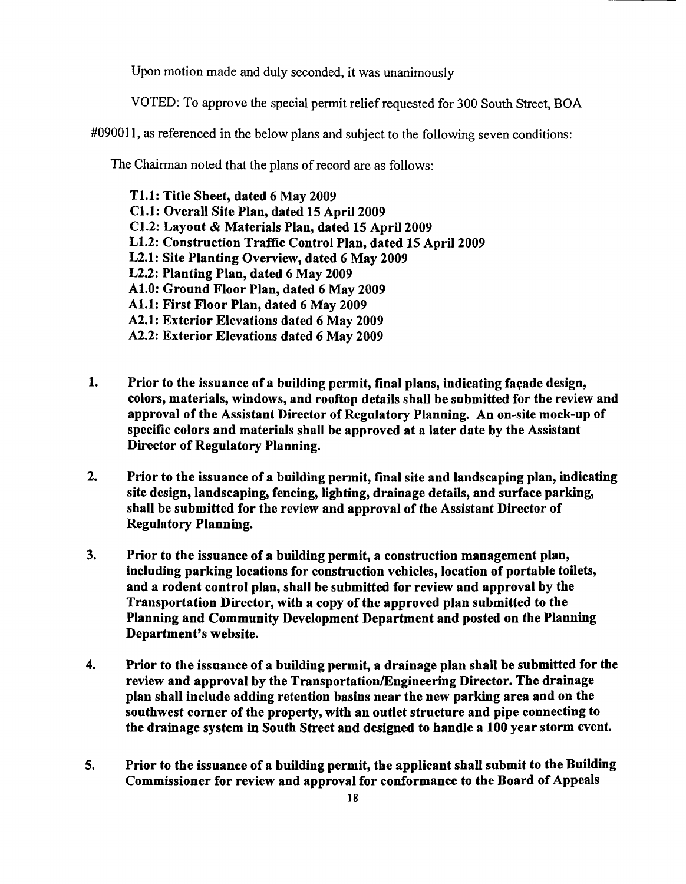Upon motion made and duly seconded, it was unanimously

VOTED: To approve the special pennit relief requested for 300 South Street, BOA

#090011, as referenced in the below plans and subject to the following seven conditions:

The Chairman noted that the plans of record are as follows:

Tl.1: Title Sheet, dated 6 May 2009 Cl.1: Overall Site Plan, dated 15 April 2009 Cl.2: Layout & Materials Plan, dated 15 April 2009 L1.2: Construction Traffic Control Plan, dated 15 April 2009 L2.1: Site Planting Overview, dated 6 May 2009 L2.2: Planting Plan, dated 6 May 2009 Al.O: Ground Floor Plan, dated 6 May 2009 ALl: First Floor Plan, dated 6 May 2009 A2.1: Exterior Elevations dated 6 May 2009 A2.2: Exterior Elevations dated 6 May 2009

- 1. Prior to the issuance of a building permit, final plans, indicating façade design, colors, materials, windows, and rooftop details shall be submitted for the review and approval of the Assistant Director of Regulatory Planning. An on·site mock·up of specific colors and materials shall be approved at a later date by the Assistant Director of Regulatory Planning.
- 2. Prior to the issuance of a building permit, final site and landscaping plan, indicating site design, landscaping, fencing, lighting, drainage details, and surface parking, shall be submitted for the review and approval of the Assistant Director of Regulatory Planning.
- 3. Prior to the issuance of a building permit, a construction management plan, including parking locations for construction vehicles, location of portable toilets, and a rodent control plan, shall be submitted for review and approval by the Transportation Director, with a copy of the approved plan submitted to the Planning and Community Development Department and posted on the Planning Department's website.
- 4. Prior to the issuance of a building permit, a drainage plan shall be submitted for the review and approval by the Transportation/Engineering Director. The drainage plan shall include adding retention basins near the new parking area and on the southwest corner of the property, with an outlet structure and pipe connecting to the drainage system in South Street and designed to handle a 100 year storm event.
- 5. Prior to the issuance of a building permit, the applicant shall submit to the Building Commissioner for review and approval for conformance to the Board of Appeals